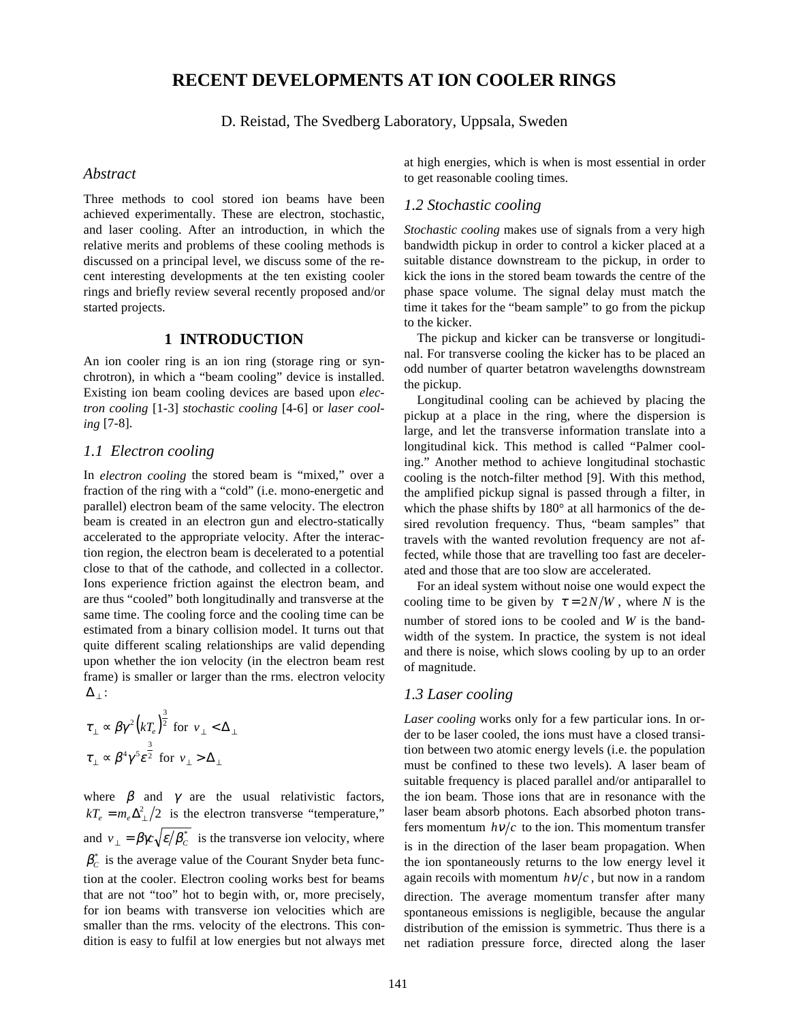# **RECENT DEVELOPMENTS AT ION COOLER RINGS**

D. Reistad, The Svedberg Laboratory, Uppsala, Sweden

#### *Abstract*

Three methods to cool stored ion beams have been achieved experimentally. These are electron, stochastic, and laser cooling. After an introduction, in which the relative merits and problems of these cooling methods is discussed on a principal level, we discuss some of the recent interesting developments at the ten existing cooler rings and briefly review several recently proposed and/or started projects.

## **1 INTRODUCTION**

An ion cooler ring is an ion ring (storage ring or synchrotron), in which a "beam cooling" device is installed. Existing ion beam cooling devices are based upon *electron cooling* [1-3] *stochastic cooling* [4-6] or *laser cooling* [7-8].

### *1.1 Electron cooling*

In *electron cooling* the stored beam is "mixed," over a fraction of the ring with a "cold" (i.e. mono-energetic and parallel) electron beam of the same velocity. The electron beam is created in an electron gun and electro-statically accelerated to the appropriate velocity. After the interaction region, the electron beam is decelerated to a potential close to that of the cathode, and collected in a collector. Ions experience friction against the electron beam, and are thus "cooled" both longitudinally and transverse at the same time. The cooling force and the cooling time can be estimated from a binary collision model. It turns out that quite different scaling relationships are valid depending upon whether the ion velocity (in the electron beam rest frame) is smaller or larger than the rms. electron velocity  $\Delta_+$  :

$$
\tau_{\perp} \propto \beta \gamma^2 \left(kT_e\right)^{\frac{3}{2}} \text{ for } v_{\perp} < \Delta_{\perp}
$$
\n
$$
\tau_{\perp} \propto \beta^4 \gamma^5 \varepsilon^{\frac{3}{2}} \text{ for } v_{\perp} > \Delta_{\perp}
$$

where  $\beta$  and  $\gamma$  are the usual relativistic factors,  $kT_e = m_e \Delta_{\perp}^2/2$  is the electron transverse "temperature," and  $v_1 = \beta \gamma c \sqrt{\varepsilon/\beta_c^*}$  is the transverse ion velocity, where  $\beta_c^*$  is the average value of the Courant Snyder beta function at the cooler. Electron cooling works best for beams that are not "too" hot to begin with, or, more precisely, for ion beams with transverse ion velocities which are smaller than the rms. velocity of the electrons. This condition is easy to fulfil at low energies but not always met at high energies, which is when is most essential in order to get reasonable cooling times.

## *1.2 Stochastic cooling*

*Stochastic cooling* makes use of signals from a very high bandwidth pickup in order to control a kicker placed at a suitable distance downstream to the pickup, in order to kick the ions in the stored beam towards the centre of the phase space volume. The signal delay must match the time it takes for the "beam sample" to go from the pickup to the kicker.

The pickup and kicker can be transverse or longitudinal. For transverse cooling the kicker has to be placed an odd number of quarter betatron wavelengths downstream the pickup.

Longitudinal cooling can be achieved by placing the pickup at a place in the ring, where the dispersion is large, and let the transverse information translate into a longitudinal kick. This method is called "Palmer cooling." Another method to achieve longitudinal stochastic cooling is the notch-filter method [9]. With this method, the amplified pickup signal is passed through a filter, in which the phase shifts by 180° at all harmonics of the desired revolution frequency. Thus, "beam samples" that travels with the wanted revolution frequency are not affected, while those that are travelling too fast are decelerated and those that are too slow are accelerated.

For an ideal system without noise one would expect the cooling time to be given by  $\tau = 2N/W$ , where *N* is the number of stored ions to be cooled and *W* is the bandwidth of the system. In practice, the system is not ideal and there is noise, which slows cooling by up to an order of magnitude.

### *1.3 Laser cooling*

*Laser cooling* works only for a few particular ions. In order to be laser cooled, the ions must have a closed transition between two atomic energy levels (i.e. the population must be confined to these two levels). A laser beam of suitable frequency is placed parallel and/or antiparallel to the ion beam. Those ions that are in resonance with the laser beam absorb photons. Each absorbed photon transfers momentum  $h\nu/c$  to the ion. This momentum transfer is in the direction of the laser beam propagation. When the ion spontaneously returns to the low energy level it again recoils with momentum  $h\nu/c$ , but now in a random direction. The average momentum transfer after many spontaneous emissions is negligible, because the angular distribution of the emission is symmetric. Thus there is a net radiation pressure force, directed along the laser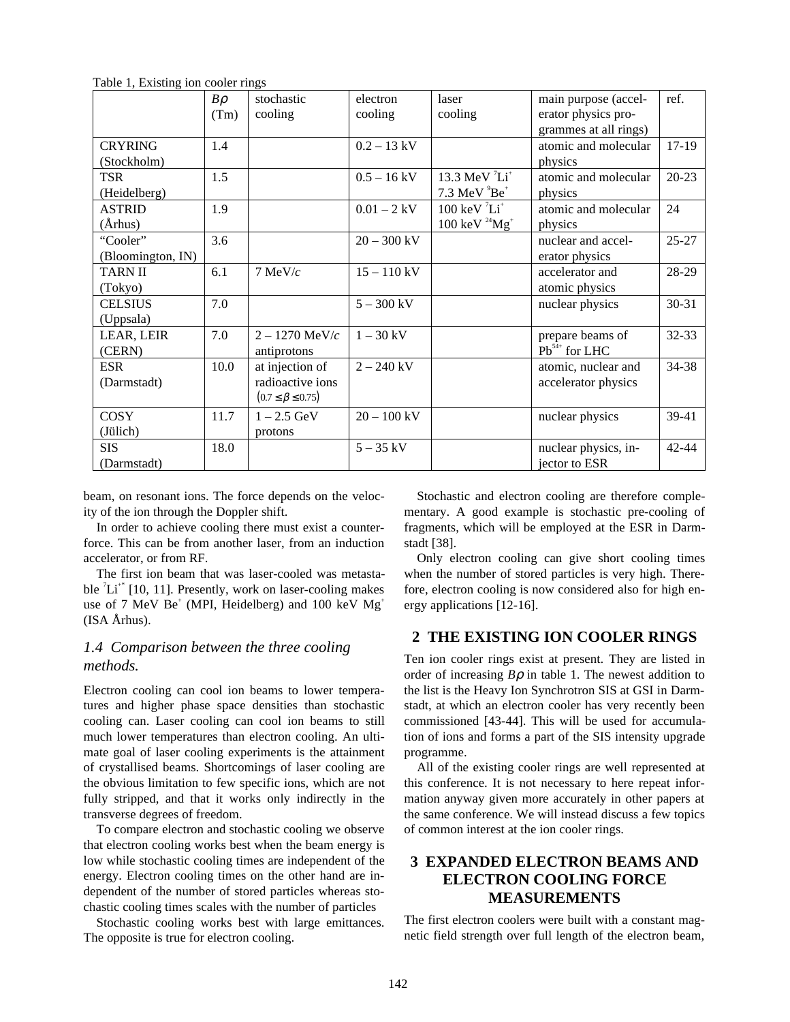|                   | $B\rho$ | stochastic                   | electron      | laser                               | main purpose (accel-  | ref.      |
|-------------------|---------|------------------------------|---------------|-------------------------------------|-----------------------|-----------|
|                   | (Tm)    | cooling                      | cooling       | cooling                             | erator physics pro-   |           |
|                   |         |                              |               |                                     | grammes at all rings) |           |
| <b>CRYRING</b>    | 1.4     |                              | $0.2 - 13$ kV |                                     | atomic and molecular  | $17-19$   |
| (Stockholm)       |         |                              |               |                                     | physics               |           |
| <b>TSR</b>        | 1.5     |                              | $0.5 - 16$ kV | 13.3 MeV $^7Li^+$                   | atomic and molecular  | $20 - 23$ |
| (Heidelberg)      |         |                              |               | $7.3$ MeV $^{9}Be^{+}$              | physics               |           |
| <b>ASTRID</b>     | 1.9     |                              | $0.01 - 2$ kV | $100 \text{ keV}^7\text{Li}^+$      | atomic and molecular  | 24        |
| $(\AA$ rhus)      |         |                              |               | $100 \text{ keV }^{24} \text{Mg}^+$ | physics               |           |
| "Cooler"          | 3.6     |                              | $20 - 300$ kV |                                     | nuclear and accel-    | $25 - 27$ |
| (Bloomington, IN) |         |                              |               |                                     | erator physics        |           |
| <b>TARN II</b>    | 6.1     | $7$ MeV/ $c$                 | $15 - 110$ kV |                                     | accelerator and       | 28-29     |
| (Tokyo)           |         |                              |               |                                     | atomic physics        |           |
| <b>CELSIUS</b>    | 7.0     |                              | $5 - 300$ kV  |                                     | nuclear physics       | 30-31     |
| (Uppsala)         |         |                              |               |                                     |                       |           |
| LEAR, LEIR        | 7.0     | $2 - 1270 \text{ MeV}/c$     | $1 - 30$ kV   |                                     | prepare beams of      | 32-33     |
| (CERN)            |         | antiprotons                  |               |                                     | $Pb^{54+}$ for LHC    |           |
| <b>ESR</b>        | 10.0    | at injection of              | $2 - 240$ kV  |                                     | atomic, nuclear and   | 34-38     |
| (Darmstadt)       |         | radioactive ions             |               |                                     | accelerator physics   |           |
|                   |         | $(0.7 \leq \beta \leq 0.75)$ |               |                                     |                       |           |
| <b>COSY</b>       | 11.7    | $1 - 2.5 \text{ GeV}$        | $20 - 100$ kV |                                     | nuclear physics       | 39-41     |
| (Jülich)          |         | protons                      |               |                                     |                       |           |
| <b>SIS</b>        | 18.0    |                              | $5 - 35$ kV   |                                     | nuclear physics, in-  | 42-44     |
| (Darmstadt)       |         |                              |               |                                     | jector to ESR         |           |

Table 1, Existing ion cooler rings

beam, on resonant ions. The force depends on the velocity of the ion through the Doppler shift.

In order to achieve cooling there must exist a counterforce. This can be from another laser, from an induction accelerator, or from RF.

The first ion beam that was laser-cooled was metastable  ${}^{7}Li^{+*}$  [10, 11]. Presently, work on laser-cooling makes use of 7 MeV Be<sup>+</sup> (MPI, Heidelberg) and 100 keV  $Mg^+$ (ISA Århus).

# *1.4 Comparison between the three cooling methods.*

Electron cooling can cool ion beams to lower temperatures and higher phase space densities than stochastic cooling can. Laser cooling can cool ion beams to still much lower temperatures than electron cooling. An ultimate goal of laser cooling experiments is the attainment of crystallised beams. Shortcomings of laser cooling are the obvious limitation to few specific ions, which are not fully stripped, and that it works only indirectly in the transverse degrees of freedom.

To compare electron and stochastic cooling we observe that electron cooling works best when the beam energy is low while stochastic cooling times are independent of the energy. Electron cooling times on the other hand are independent of the number of stored particles whereas stochastic cooling times scales with the number of particles

Stochastic cooling works best with large emittances. The opposite is true for electron cooling.

Stochastic and electron cooling are therefore complementary. A good example is stochastic pre-cooling of fragments, which will be employed at the ESR in Darmstadt [38].

Only electron cooling can give short cooling times when the number of stored particles is very high. Therefore, electron cooling is now considered also for high energy applications [12-16].

## **2 THE EXISTING ION COOLER RINGS**

Ten ion cooler rings exist at present. They are listed in order of increasing  $B\rho$  in table 1. The newest addition to the list is the Heavy Ion Synchrotron SIS at GSI in Darmstadt, at which an electron cooler has very recently been commissioned [43-44]. This will be used for accumulation of ions and forms a part of the SIS intensity upgrade programme.

All of the existing cooler rings are well represented at this conference. It is not necessary to here repeat information anyway given more accurately in other papers at the same conference. We will instead discuss a few topics of common interest at the ion cooler rings.

# **3 EXPANDED ELECTRON BEAMS AND ELECTRON COOLING FORCE MEASUREMENTS**

The first electron coolers were built with a constant magnetic field strength over full length of the electron beam,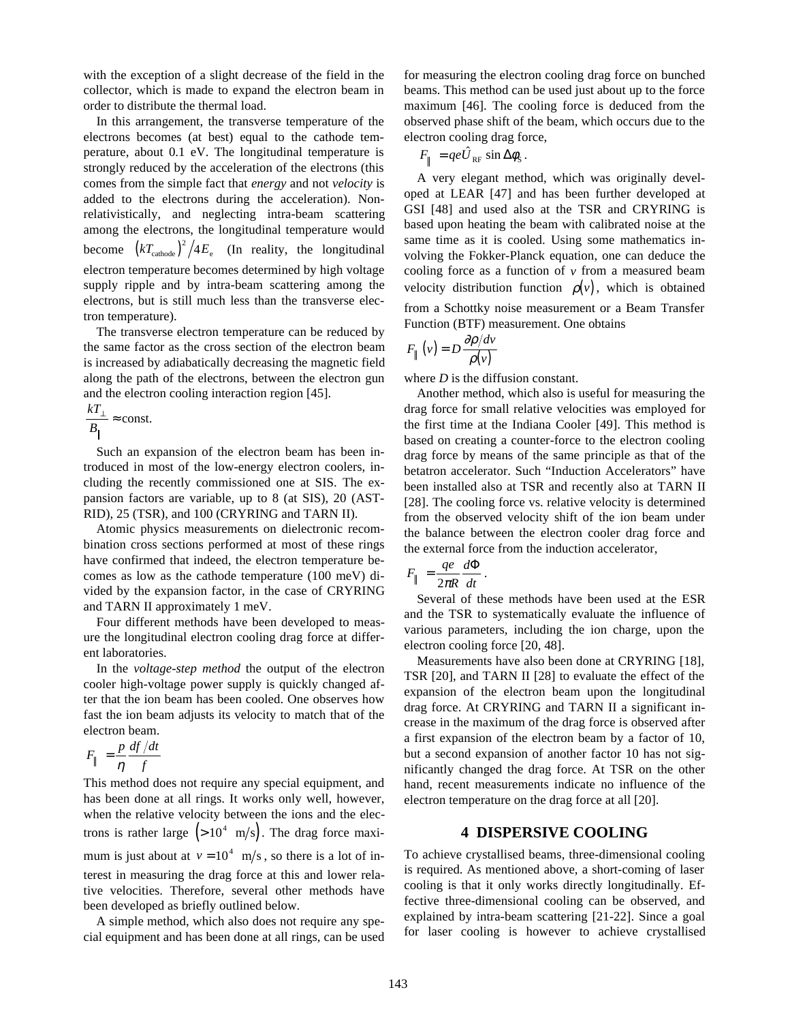with the exception of a slight decrease of the field in the collector, which is made to expand the electron beam in order to distribute the thermal load.

In this arrangement, the transverse temperature of the electrons becomes (at best) equal to the cathode temperature, about 0.1 eV. The longitudinal temperature is strongly reduced by the acceleration of the electrons (this comes from the simple fact that *energy* and not *velocity* is added to the electrons during the acceleration). Nonrelativistically, and neglecting intra-beam scattering among the electrons, the longitudinal temperature would become  $(kT_{\text{cathode}})^2/4E_e$  (In reality, the longitudinal electron temperature becomes determined by high voltage supply ripple and by intra-beam scattering among the electrons, but is still much less than the transverse electron temperature).

The transverse electron temperature can be reduced by the same factor as the cross section of the electron beam is increased by adiabatically decreasing the magnetic field along the path of the electrons, between the electron gun and the electron cooling interaction region [45].

$$
\frac{kT_{\perp}}{B_{\parallel}} \approx \text{const.}
$$

Such an expansion of the electron beam has been introduced in most of the low-energy electron coolers, including the recently commissioned one at SIS. The expansion factors are variable, up to 8 (at SIS), 20 (AST-RID), 25 (TSR), and 100 (CRYRING and TARN II).

Atomic physics measurements on dielectronic recombination cross sections performed at most of these rings have confirmed that indeed, the electron temperature becomes as low as the cathode temperature (100 meV) divided by the expansion factor, in the case of CRYRING and TARN II approximately 1 meV.

Four different methods have been developed to measure the longitudinal electron cooling drag force at different laboratories.

In the *voltage-step method* the output of the electron cooler high-voltage power supply is quickly changed after that the ion beam has been cooled. One observes how fast the ion beam adjusts its velocity to match that of the electron beam.

$$
F_{\parallel} = \frac{p}{\eta} \frac{df/dt}{f}
$$

This method does not require any special equipment, and has been done at all rings. It works only well, however, when the relative velocity between the ions and the electrons is rather large  $(>10^4 \text{ m/s})$ . The drag force maximum is just about at  $v = 10^4$  m/s, so there is a lot of interest in measuring the drag force at this and lower relative velocities. Therefore, several other methods have been developed as briefly outlined below.

A simple method, which also does not require any special equipment and has been done at all rings, can be used

for measuring the electron cooling drag force on bunched beams. This method can be used just about up to the force maximum [46]. The cooling force is deduced from the observed phase shift of the beam, which occurs due to the electron cooling drag force,  $\mu$  *F* and  $\mu$ <br>*F* and  $F_{\parallel} = qe\hat{U}$ 

$$
F_{\parallel} = q e \hat{U}_{\text{RF}} \sin \Delta \phi_{\text{S}}.
$$

A very elegant method, which was originally developed at LEAR [47] and has been further developed at GSI [48] and used also at the TSR and CRYRING is based upon heating the beam with calibrated noise at the same time as it is cooled. Using some mathematics involving the Fokker-Planck equation, one can deduce the cooling force as a function of  $\nu$  from a measured beam velocity distribution function  $\rho(v)$ , which is obtained from a Schottky noise measurement or a Beam Transfer Function (BTF) measurement. One obtains

$$
F_{\parallel}(v) = D \frac{\partial \rho / dv}{\rho(v)}
$$

where *D* is the diffusion constant.

Another method, which also is useful for measuring the drag force for small relative velocities was employed for the first time at the Indiana Cooler [49]. This method is based on creating a counter-force to the electron cooling drag force by means of the same principle as that of the betatron accelerator. Such "Induction Accelerators" have been installed also at TSR and recently also at TARN II [28]. The cooling force vs. relative velocity is determined from the observed velocity shift of the ion beam under the balance between the electron cooler drag force and the external force from the induction accelerator,

$$
F_{\parallel} = \frac{qe}{2\pi R} \frac{d\Phi}{dt}.
$$

Several of these methods have been used at the ESR and the TSR to systematically evaluate the influence of various parameters, including the ion charge, upon the electron cooling force [20, 48].

Measurements have also been done at CRYRING [18], TSR [20], and TARN II [28] to evaluate the effect of the expansion of the electron beam upon the longitudinal drag force. At CRYRING and TARN II a significant increase in the maximum of the drag force is observed after a first expansion of the electron beam by a factor of 10, but a second expansion of another factor 10 has not significantly changed the drag force. At TSR on the other hand, recent measurements indicate no influence of the electron temperature on the drag force at all [20].

## **4 DISPERSIVE COOLING**

To achieve crystallised beams, three-dimensional cooling is required. As mentioned above, a short-coming of laser cooling is that it only works directly longitudinally. Effective three-dimensional cooling can be observed, and explained by intra-beam scattering [21-22]. Since a goal for laser cooling is however to achieve crystallised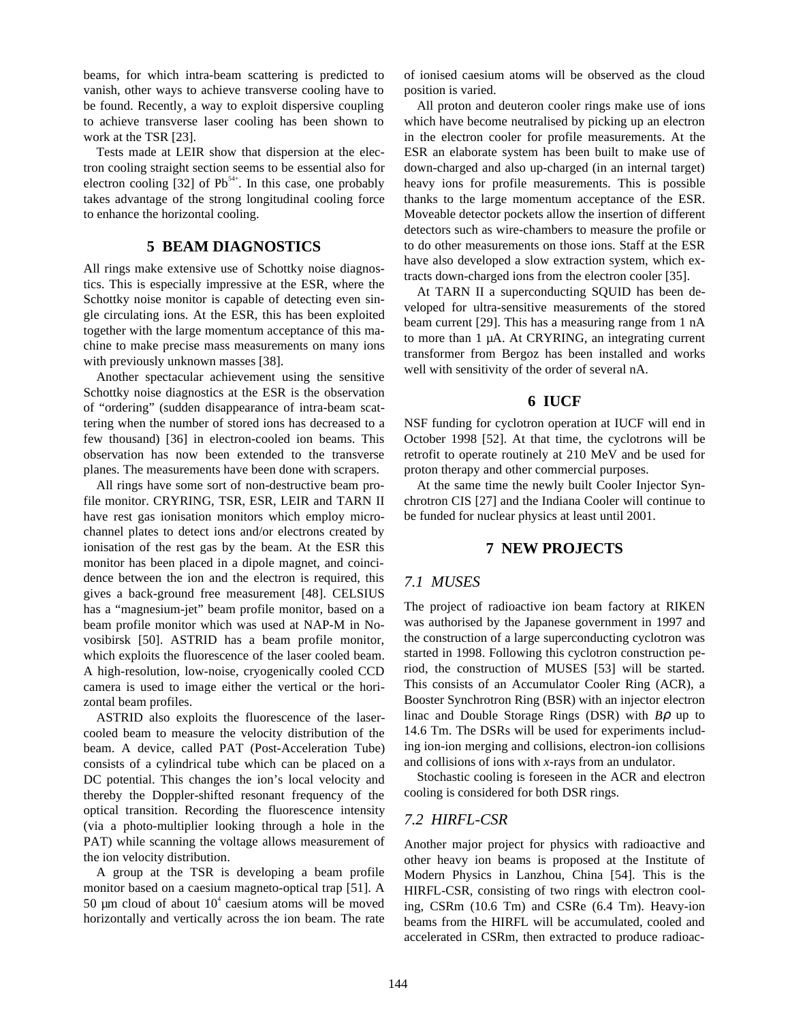beams, for which intra-beam scattering is predicted to vanish, other ways to achieve transverse cooling have to be found. Recently, a way to exploit dispersive coupling to achieve transverse laser cooling has been shown to work at the TSR [23].

Tests made at LEIR show that dispersion at the electron cooling straight section seems to be essential also for electron cooling  $[32]$  of Pb<sup>54+</sup>. In this case, one probably takes advantage of the strong longitudinal cooling force to enhance the horizontal cooling.

## **5 BEAM DIAGNOSTICS**

All rings make extensive use of Schottky noise diagnostics. This is especially impressive at the ESR, where the Schottky noise monitor is capable of detecting even single circulating ions. At the ESR, this has been exploited together with the large momentum acceptance of this machine to make precise mass measurements on many ions with previously unknown masses [38].

Another spectacular achievement using the sensitive Schottky noise diagnostics at the ESR is the observation of "ordering" (sudden disappearance of intra-beam scattering when the number of stored ions has decreased to a few thousand) [36] in electron-cooled ion beams. This observation has now been extended to the transverse planes. The measurements have been done with scrapers.

All rings have some sort of non-destructive beam profile monitor. CRYRING, TSR, ESR, LEIR and TARN II have rest gas ionisation monitors which employ microchannel plates to detect ions and/or electrons created by ionisation of the rest gas by the beam. At the ESR this monitor has been placed in a dipole magnet, and coincidence between the ion and the electron is required, this gives a back-ground free measurement [48]. CELSIUS has a "magnesium-jet" beam profile monitor, based on a beam profile monitor which was used at NAP-M in Novosibirsk [50]. ASTRID has a beam profile monitor, which exploits the fluorescence of the laser cooled beam. A high-resolution, low-noise, cryogenically cooled CCD camera is used to image either the vertical or the horizontal beam profiles.

ASTRID also exploits the fluorescence of the lasercooled beam to measure the velocity distribution of the beam. A device, called PAT (Post-Acceleration Tube) consists of a cylindrical tube which can be placed on a DC potential. This changes the ion's local velocity and thereby the Doppler-shifted resonant frequency of the optical transition. Recording the fluorescence intensity (via a photo-multiplier looking through a hole in the PAT) while scanning the voltage allows measurement of the ion velocity distribution.

A group at the TSR is developing a beam profile monitor based on a caesium magneto-optical trap [51]. A 50  $\mu$ m cloud of about 10 $\textdegree$  caesium atoms will be moved horizontally and vertically across the ion beam. The rate

of ionised caesium atoms will be observed as the cloud position is varied.

All proton and deuteron cooler rings make use of ions which have become neutralised by picking up an electron in the electron cooler for profile measurements. At the ESR an elaborate system has been built to make use of down-charged and also up-charged (in an internal target) heavy ions for profile measurements. This is possible thanks to the large momentum acceptance of the ESR. Moveable detector pockets allow the insertion of different detectors such as wire-chambers to measure the profile or to do other measurements on those ions. Staff at the ESR have also developed a slow extraction system, which extracts down-charged ions from the electron cooler [35].

At TARN II a superconducting SQUID has been developed for ultra-sensitive measurements of the stored beam current [29]. This has a measuring range from 1 nA to more than 1 µA. At CRYRING, an integrating current transformer from Bergoz has been installed and works well with sensitivity of the order of several nA.

#### **6 IUCF**

NSF funding for cyclotron operation at IUCF will end in October 1998 [52]. At that time, the cyclotrons will be retrofit to operate routinely at 210 MeV and be used for proton therapy and other commercial purposes.

At the same time the newly built Cooler Injector Synchrotron CIS [27] and the Indiana Cooler will continue to be funded for nuclear physics at least until 2001.

#### **7 NEW PROJECTS**

#### *7.1 MUSES*

The project of radioactive ion beam factory at RIKEN was authorised by the Japanese government in 1997 and the construction of a large superconducting cyclotron was started in 1998. Following this cyclotron construction period, the construction of MUSES [53] will be started. This consists of an Accumulator Cooler Ring (ACR), a Booster Synchrotron Ring (BSR) with an injector electron linac and Double Storage Rings (DSR) with *B*ρ up to 14.6 Tm. The DSRs will be used for experiments including ion-ion merging and collisions, electron-ion collisions and collisions of ions with *x*-rays from an undulator.

Stochastic cooling is foreseen in the ACR and electron cooling is considered for both DSR rings.

## *7.2 HIRFL-CSR*

Another major project for physics with radioactive and other heavy ion beams is proposed at the Institute of Modern Physics in Lanzhou, China [54]. This is the HIRFL-CSR, consisting of two rings with electron cooling, CSRm (10.6 Tm) and CSRe (6.4 Tm). Heavy-ion beams from the HIRFL will be accumulated, cooled and accelerated in CSRm, then extracted to produce radioac